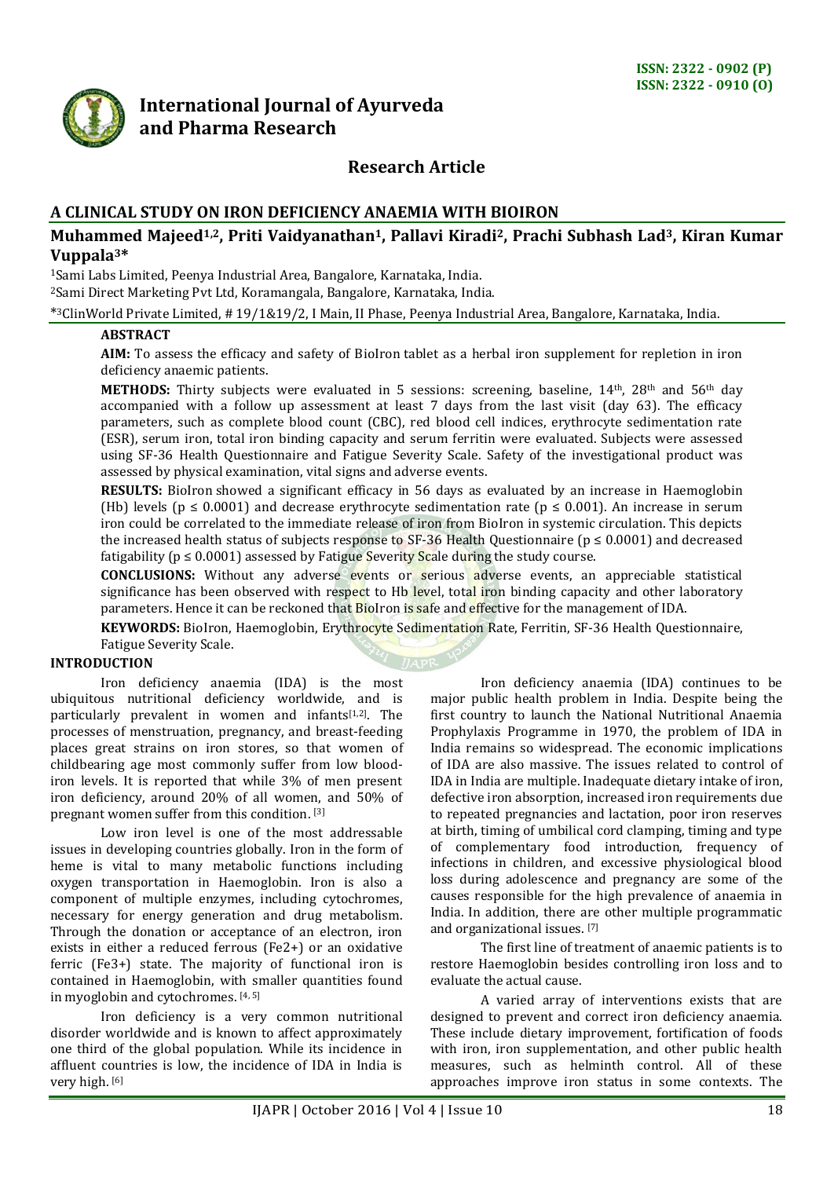

# **International Journal of Ayurveda and Pharma Research**

# **Research Article**

# **A CLINICAL STUDY ON IRON DEFICIENCY ANAEMIA WITH BIOIRON**

## **Muhammed Majeed1,2, Priti Vaidyanathan1, Pallavi Kiradi2, Prachi Subhash Lad3, Kiran Kumar Vuppala3\***

<sup>1</sup>Sami Labs Limited, Peenya Industrial Area, Bangalore, Karnataka, India.

<sup>2</sup>Sami Direct Marketing Pvt Ltd, Koramangala, Bangalore, Karnataka, India.

\* <sup>3</sup>ClinWorld Private Limited, # 19/1&19/2, I Main, II Phase, Peenya Industrial Area, Bangalore, Karnataka, India.

#### **ABSTRACT**

**AIM:** To assess the efficacy and safety of BioIron tablet as a herbal iron supplement for repletion in iron deficiency anaemic patients.

METHODS: Thirty subjects were evaluated in 5 sessions: screening, baseline, 14<sup>th</sup>, 28<sup>th</sup> and 56<sup>th</sup> day accompanied with a follow up assessment at least 7 days from the last visit (day 63). The efficacy parameters, such as complete blood count (CBC), red blood cell indices, erythrocyte sedimentation rate (ESR), serum iron, total iron binding capacity and serum ferritin were evaluated. Subjects were assessed using SF-36 Health Questionnaire and Fatigue Severity Scale. Safety of the investigational product was assessed by physical examination, vital signs and adverse events.

**RESULTS:** BioIron showed a significant efficacy in 56 days as evaluated by an increase in Haemoglobin (Hb) levels ( $p \le 0.0001$ ) and decrease erythrocyte sedimentation rate ( $p \le 0.001$ ). An increase in serum iron could be correlated to the immediate release of iron from BioIron in systemic circulation. This depicts the increased health status of subjects response to SF-36 Health Questionnaire ( $p \le 0.0001$ ) and decreased fatigability ( $p \le 0.0001$ ) assessed by Fatigue Severity Scale during the study course.

**CONCLUSIONS:** Without any adverse events or serious adverse events, an appreciable statistical significance has been observed with respect to Hb level, total iron binding capacity and other laboratory parameters. Hence it can be reckoned that BioIron is safe and effective for the management of IDA.

**KEYWORDS:** BioIron, Haemoglobin, Erythrocyte Sedimentation Rate, Ferritin, SF-36 Health Questionnaire, Fatigue Severity Scale.

## **INTRODUCTION**

Iron deficiency anaemia (IDA) is the most ubiquitous nutritional deficiency worldwide, and is particularly prevalent in women and infants<sup>[1,2]</sup>. The processes of menstruation, pregnancy, and breast-feeding places great strains on iron stores, so that women of childbearing age most commonly suffer from low bloodiron levels. It is reported that while 3% of men present iron deficiency, around 20% of all women, and 50% of pregnant women suffer from this condition. [3]

Low iron level is one of the most addressable issues in developing countries globally. Iron in the form of heme is vital to many metabolic functions including oxygen transportation in Haemoglobin. Iron is also a component of multiple enzymes, including cytochromes, necessary for energy generation and drug metabolism. Through the donation or acceptance of an electron, iron exists in either a reduced ferrous (Fe2+) or an oxidative ferric (Fe3+) state. The majority of functional iron is contained in Haemoglobin, with smaller quantities found in myoglobin and cytochromes. [4, 5]

Iron deficiency is a very common nutritional disorder worldwide and is known to affect approximately one third of the global population. While its incidence in affluent countries is low, the incidence of IDA in India is very high. [\[6\]](http://www.ncbi.nlm.nih.gov/pmc/articles/PMC3545243/#ref2)

Iron deficiency anaemia (IDA) continues to be major public health problem in India. Despite being the first country to launch the National Nutritional Anaemia Prophylaxis Programme in 1970, the problem of IDA in India remains so widespread. The economic implications of IDA are also massive. The issues related to control of IDA in India are multiple. Inadequate dietary intake of iron, defective iron absorption, increased iron requirements due to repeated pregnancies and lactation, poor iron reserves at birth, timing of umbilical cord clamping, timing and type of complementary food introduction, frequency of infections in children, and excessive physiological blood loss during adolescence and pregnancy are some of the causes responsible for the high prevalence of anaemia in India. In addition, there are other multiple programmatic and organizational issues. [7]

The first line of treatment of anaemic patients is to restore Haemoglobin besides controlling iron loss and to evaluate the actual cause.

A varied array of interventions exists that are designed to prevent and correct iron deficiency anaemia. These include dietary improvement, fortification of foods with iron, iron supplementation, and other public health measures, such as helminth control. All of these approaches improve iron status in some contexts. The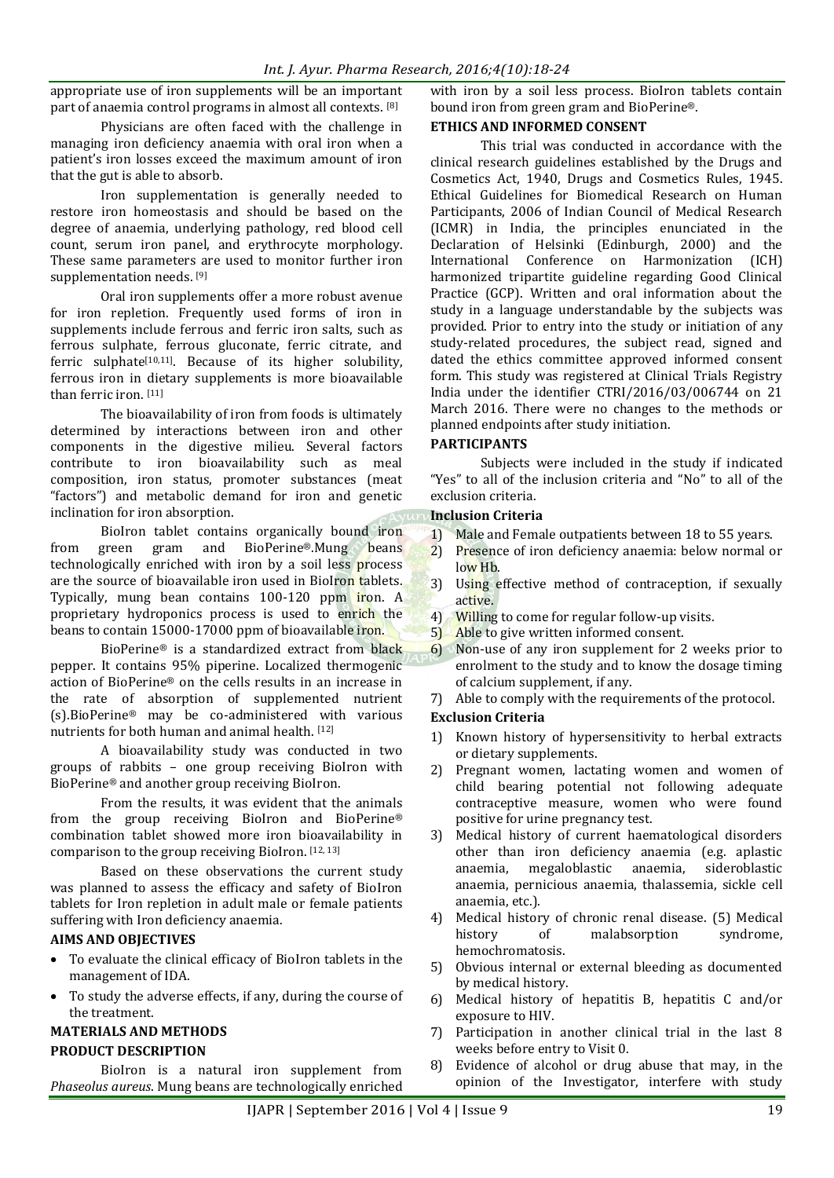appropriate use of iron supplements will be an important part of anaemia control programs in almost all contexts. [8]

Physicians are often faced with the challenge in managing iron deficiency anaemia with oral iron when a patient's iron losses exceed the maximum amount of iron that the gut is able to absorb.

Iron supplementation is generally needed to restore iron homeostasis and should be based on the degree of anaemia, underlying pathology, red blood cell count, serum iron panel, and erythrocyte morphology. These same parameters are used to monitor further iron supplementation needs. [9]

Oral iron supplements offer a more robust avenue for iron repletion. Frequently used forms of iron in supplements include ferrous and ferric iron salts, such as ferrous sulphate, ferrous gluconate, ferric citrate, and ferric sulphate<sup>[\[10,](https://ods.od.nih.gov/factsheets/Iron-HealthProfessional/#en3)[11\]](https://ods.od.nih.gov/factsheets/Iron-HealthProfessional/#en18)</sup>. Because of its higher solubility, ferrous iron in dietary supplements is more bioavailable than ferric iron. [\[11\]](https://ods.od.nih.gov/factsheets/Iron-HealthProfessional/#en3)

The bioavailability of iron from foods is ultimately determined by interactions between iron and other components in the digestive milieu. Several factors contribute to iron bioavailability such as meal composition, iron status, promoter substances (meat "factors") and metabolic demand for iron and genetic inclination for iron absorption.

BioIron tablet contains organically bound iron from green gram and BioPerine®.Mung beans technologically enriched with iron by a soil less process are the source of bioavailable iron used in BioIron tablets. Typically, mung bean contains 100-120 ppm iron. A proprietary hydroponics process is used to enrich the beans to contain 15000-17000 ppm of bioavailable iron.

BioPerine® is a standardized extract from black pepper. It contains 95% piperine. Localized thermogenic action of BioPerine® on the cells results in an increase in the rate of absorption of supplemented nutrient (s).BioPerine® may be co-administered with various nutrients for both human and animal health. [12]

A bioavailability study was conducted in two groups of rabbits – one group receiving BioIron with BioPerine® and another group receiving BioIron.

From the results, it was evident that the animals from the group receiving BioIron and BioPerine® combination tablet showed more iron bioavailability in comparison to the group receiving BioIron. [12, 13]

Based on these observations the current study was planned to assess the efficacy and safety of BioIron tablets for Iron repletion in adult male or female patients suffering with Iron deficiency anaemia.

## **AIMS AND OBJECTIVES**

- To evaluate the clinical efficacy of BioIron tablets in the management of IDA.
- To study the adverse effects, if any, during the course of the treatment.

# **MATERIALS AND METHODS**

# **PRODUCT DESCRIPTION**

BioIron is a natural iron supplement from *Phaseolus aureus*. Mung beans are technologically enriched with iron by a soil less process. BioIron tablets contain bound iron from green gram and BioPerine®.

# **ETHICS AND INFORMED CONSENT**

This trial was conducted in accordance with the clinical research guidelines established by the Drugs and Cosmetics Act, 1940, Drugs and Cosmetics Rules, 1945. Ethical Guidelines for Biomedical Research on Human Participants, 2006 of Indian Council of Medical Research (ICMR) in India, the principles enunciated in the Declaration of Helsinki (Edinburgh, 2000) and the International Conference on Harmonization (ICH) harmonized tripartite guideline regarding Good Clinical Practice (GCP). Written and oral information about the study in a language understandable by the subjects was provided. Prior to entry into the study or initiation of any study-related procedures, the subject read, signed and dated the ethics committee approved informed consent form. This study was registered at Clinical Trials Registry India under the identifier CTRI/2016/03/006744 on 21 March 2016. There were no changes to the methods or planned endpoints after study initiation.

### **PARTICIPANTS**

Subjects were included in the study if indicated "Yes" to all of the inclusion criteria and "No" to all of the exclusion criteria.

## **Inclusion Criteria**

- 1) Male and Female outpatients between 18 to 55 years.
- 2) Presence of iron deficiency anaemia: below normal or low Hb.
- 3) Using effective method of contraception, if sexually active.
- 4) Willing to come for regular follow-up visits.
- 5) Able to give written informed consent.
- 6) Non-use of any iron supplement for 2 weeks prior to enrolment to the study and to know the dosage timing of calcium supplement, if any.
- 7) Able to comply with the requirements of the protocol.

### **Exclusion Criteria**

- 1) Known history of hypersensitivity to herbal extracts or dietary supplements.
- 2) Pregnant women, lactating women and women of child bearing potential not following adequate contraceptive measure, women who were found positive for urine pregnancy test.
- 3) Medical history of current haematological disorders other than iron deficiency anaemia (e.g. aplastic anaemia, megaloblastic anaemia, sideroblastic anaemia, pernicious anaemia, thalassemia, sickle cell anaemia, etc.).
- 4) Medical history of chronic renal disease. (5) Medical history of malabsorption syndrome, hemochromatosis.
- 5) Obvious internal or external bleeding as documented by medical history.
- 6) Medical history of hepatitis B, hepatitis C and/or exposure to HIV.
- 7) Participation in another clinical trial in the last 8 weeks before entry to Visit 0.
- 8) Evidence of alcohol or drug abuse that may, in the opinion of the Investigator, interfere with study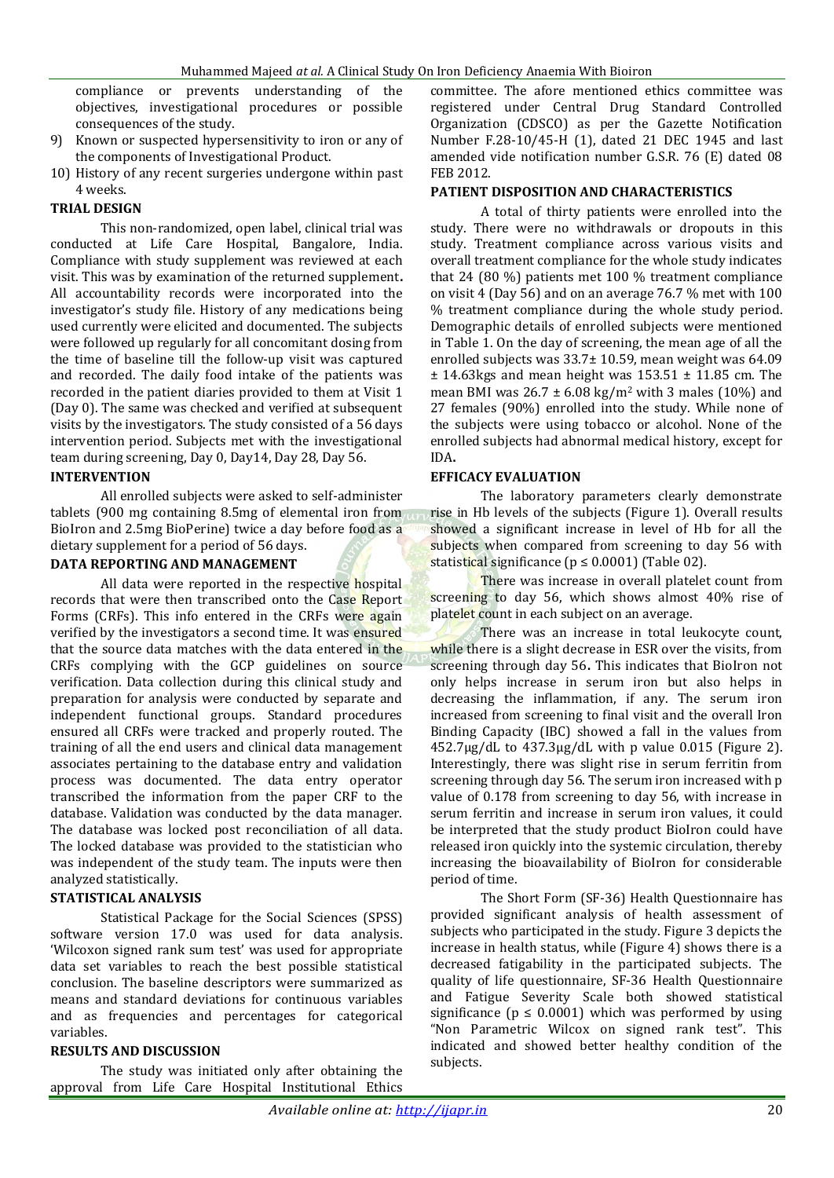compliance or prevents understanding of the objectives, investigational procedures or possible consequences of the study.

- 9) Known or suspected hypersensitivity to iron or any of the components of Investigational Product.
- 10) History of any recent surgeries undergone within past 4 weeks.

### **TRIAL DESIGN**

This non-randomized, open label, clinical trial was conducted at Life Care Hospital, Bangalore, India. Compliance with study supplement was reviewed at each visit. This was by examination of the returned supplement**.** All accountability records were incorporated into the investigator's study file. History of any medications being used currently were elicited and documented. The subjects were followed up regularly for all concomitant dosing from the time of baseline till the follow-up visit was captured and recorded. The daily food intake of the patients was recorded in the patient diaries provided to them at Visit 1 (Day 0). The same was checked and verified at subsequent visits by the investigators. The study consisted of a 56 days intervention period. Subjects met with the investigational team during screening, Day 0, Day14, Day 28, Day 56.

#### **INTERVENTION**

All enrolled subjects were asked to self-administer tablets (900 mg containing 8.5mg of elemental iron from BioIron and 2.5mg BioPerine) twice a day before food as a dietary supplement for a period of 56 days.

#### **DATA REPORTING AND MANAGEMENT**

All data were reported in the respective hospital records that were then transcribed onto the Case Report Forms (CRFs). This info entered in the CRFs were again verified by the investigators a second time. It was ensured that the source data matches with the data entered in the CRFs complying with the GCP guidelines on source verification. Data collection during this clinical study and preparation for analysis were conducted by separate and independent functional groups. Standard procedures ensured all CRFs were tracked and properly routed. The training of all the end users and clinical data management associates pertaining to the database entry and validation process was documented. The data entry operator transcribed the information from the paper CRF to the database. Validation was conducted by the data manager. The database was locked post reconciliation of all data. The locked database was provided to the statistician who was independent of the study team. The inputs were then analyzed statistically.

## **STATISTICAL ANALYSIS**

Statistical Package for the Social Sciences (SPSS) software version 17.0 was used for data analysis. 'Wilcoxon signed rank sum test' was used for appropriate data set variables to reach the best possible statistical conclusion. The baseline descriptors were summarized as means and standard deviations for continuous variables and as frequencies and percentages for categorical variables.

### **RESULTS AND DISCUSSION**

The study was initiated only after obtaining the approval from Life Care Hospital Institutional Ethics

committee. The afore mentioned ethics committee was registered under Central Drug Standard Controlled Organization (CDSCO) as per the Gazette Notification Number F.28-10/45-H (1), dated 21 DEC 1945 and last amended vide notification number G.S.R. 76 (E) dated 08 FEB 2012.

#### **PATIENT DISPOSITION AND CHARACTERISTICS**

A total of thirty patients were enrolled into the study. There were no withdrawals or dropouts in this study. Treatment compliance across various visits and overall treatment compliance for the whole study indicates that 24 (80 %) patients met 100 % treatment compliance on visit 4 (Day 56) and on an average 76.7 % met with 100 % treatment compliance during the whole study period. Demographic details of enrolled subjects were mentioned in Table 1. On the day of screening, the mean age of all the enrolled subjects was 33.7± 10.59, mean weight was 64.09  $±$  14.63kgs and mean height was 153.51  $±$  11.85 cm. The mean BMI was  $26.7 \pm 6.08$  kg/m<sup>2</sup> with 3 males (10%) and 27 females (90%) enrolled into the study. While none of the subjects were using tobacco or alcohol. None of the enrolled subjects had abnormal medical history, except for IDA**.**

#### **EFFICACY EVALUATION**

The laboratory parameters clearly demonstrate rise in Hb levels of the subjects (Figure 1). Overall results showed a significant increase in level of Hb for all the subjects when compared from screening to day 56 with statistical significance ( $p \le 0.0001$ ) (Table 02).

There was increase in overall platelet count from screening to day 56, which shows almost 40% rise of platelet count in each subject on an average.

There was an increase in total leukocyte count, while there is a slight decrease in ESR over the visits, from screening through day 56**.** This indicates that BioIron not only helps increase in serum iron but also helps in decreasing the inflammation, if any. The serum iron increased from screening to final visit and the overall Iron Binding Capacity (IBC) showed a fall in the values from  $452.7\mu$ g/dL to  $437.3\mu$ g/dL with p value 0.015 (Figure 2). Interestingly, there was slight rise in serum ferritin from screening through day 56. The serum iron increased with p value of 0.178 from screening to day 56, with increase in serum ferritin and increase in serum iron values, it could be interpreted that the study product BioIron could have released iron quickly into the systemic circulation, thereby increasing the bioavailability of BioIron for considerable period of time.

The Short Form (SF-36) Health Questionnaire has provided significant analysis of health assessment of subjects who participated in the study. Figure 3 depicts the increase in health status, while (Figure 4) shows there is a decreased fatigability in the participated subjects. The quality of life questionnaire, SF-36 Health Questionnaire and Fatigue Severity Scale both showed statistical significance ( $p \leq 0.0001$ ) which was performed by using "Non Parametric Wilcox on signed rank test". This indicated and showed better healthy condition of the subjects.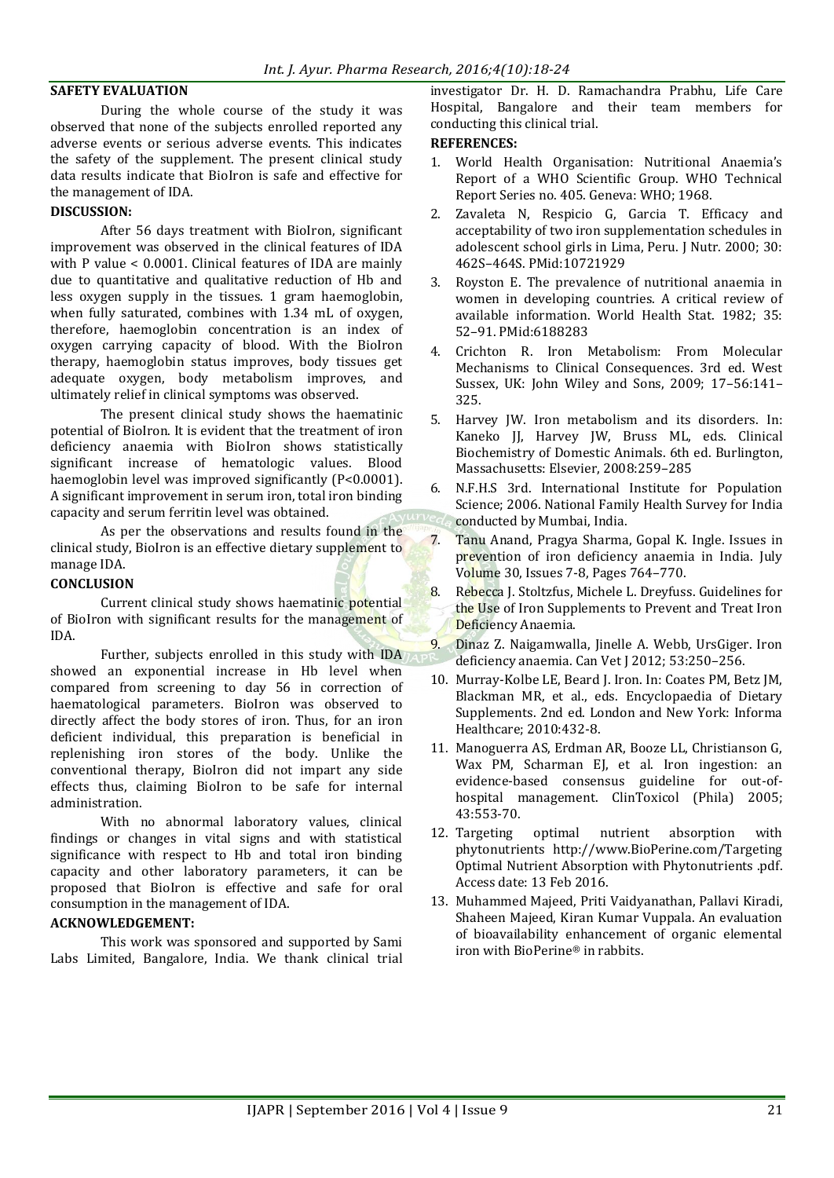#### **SAFETY EVALUATION**

During the whole course of the study it was observed that none of the subjects enrolled reported any adverse events or serious adverse events. This indicates the safety of the supplement. The present clinical study data results indicate that BioIron is safe and effective for the management of IDA.

#### **DISCUSSION:**

After 56 days treatment with BioIron, significant improvement was observed in the clinical features of IDA with P value < 0.0001. Clinical features of IDA are mainly due to quantitative and qualitative reduction of Hb and less oxygen supply in the tissues. 1 gram haemoglobin, when fully saturated, combines with 1.34 mL of oxygen, therefore, haemoglobin concentration is an index of oxygen carrying capacity of blood. With the BioIron therapy, haemoglobin status improves, body tissues get adequate oxygen, body metabolism improves, and ultimately relief in clinical symptoms was observed.

The present clinical study shows the haematinic potential of BioIron. It is evident that the treatment of iron deficiency anaemia with BioIron shows statistically significant increase of hematologic values. Blood haemoglobin level was improved significantly (P<0.0001). A significant improvement in serum iron, total iron binding capacity and serum ferritin level was obtained.

As per the observations and results found in the clinical study, BioIron is an effective dietary supplement to manage IDA.

#### **CONCLUSION**

Current clinical study shows haematinic potential of BioIron with significant results for the management of IDA.

Further, subjects enrolled in this study with IDA showed an exponential increase in Hb level when compared from screening to day 56 in correction of haematological parameters. BioIron was observed to directly affect the body stores of iron. Thus, for an iron deficient individual, this preparation is beneficial in replenishing iron stores of the body. Unlike the conventional therapy, BioIron did not impart any side effects thus, claiming BioIron to be safe for internal administration.

With no abnormal laboratory values, clinical findings or changes in vital signs and with statistical significance with respect to Hb and total iron binding capacity and other laboratory parameters, it can be proposed that BioIron is effective and safe for oral consumption in the management of IDA.

#### **ACKNOWLEDGEMENT:**

This work was sponsored and supported by Sami Labs Limited, Bangalore, India. We thank clinical trial investigator Dr. H. D. Ramachandra Prabhu, Life Care Hospital, Bangalore and their team members for conducting this clinical trial.

#### **REFERENCES:**

- 1. World Health Organisation: Nutritional Anaemia's Report of a WHO Scientific Group. WHO Technical Report Series no. 405. Geneva: WHO; 1968.
- 2. Zavaleta N, Respicio G, Garcia T. Efficacy and acceptability of two iron supplementation schedules in adolescent school girls in Lima, Peru. J Nutr. 2000; 30: 462S–464S. PMid:10721929
- 3. Royston E. The prevalence of nutritional anaemia in women in developing countries. A critical review of available information. World Health Stat. 1982; 35: 52–91. PMid:6188283
- 4. Crichton R. Iron Metabolism: From Molecular Mechanisms to Clinical Consequences. 3rd ed. West Sussex, UK: John Wiley and Sons, 2009; 17–56:141– 325.
- 5. Harvey JW. Iron metabolism and its disorders. In: Kaneko JJ, Harvey JW, Bruss ML, eds. Clinical Biochemistry of Domestic Animals. 6th ed. Burlington, Massachusetts: Elsevier, 2008:259–285
- 6. N.F.H.S 3rd. International Institute for Population Science; 2006. National Family Health Survey for India conducted by Mumbai, India.
- 7. Tanu Anand, Pragya Sharma, [Gopal K. Ingle.](javascript:void(0);) Issues in prevention of iron deficiency anaemia in India. July Volume 30, Issues 7-8, Pages 764–770.
- 8. Rebecca J. Stoltzfus, Michele L. Dreyfuss. Guidelines for the Use of Iron Supplements to Prevent and Treat Iron Deficiency Anaemia.
- 9. Dinaz Z. Naigamwalla, Jinelle A. Webb, UrsGiger. Iron deficiency anaemia. Can Vet J 2012; 53:250–256.
- 10. Murray-Kolbe LE, Beard J. Iron. In: Coates PM, Betz JM, Blackman MR, et al., eds. Encyclopaedia of Dietary Supplements. 2nd ed. London and New York: Informa Healthcare; 2010:432-8.
- 11. Manoguerra AS, Erdman AR, Booze LL, Christianson G, Wax PM, Scharman EJ, et al. Iron ingestion: an evidence-based consensus guideline for out-ofhospital management. ClinToxicol (Phila) 2005; 43:553-70.
- 12. Targeting optimal nutrient absorption with phytonutrients http://www.BioPerine.com/Targeting Optimal Nutrient Absorption with Phytonutrients .pdf. Access date: 13 Feb 2016.
- 13. Muhammed Majeed, Priti Vaidyanathan, Pallavi Kiradi, Shaheen Majeed, Kiran Kumar Vuppala. An evaluation of bioavailability enhancement of organic elemental iron with BioPerine® in rabbits.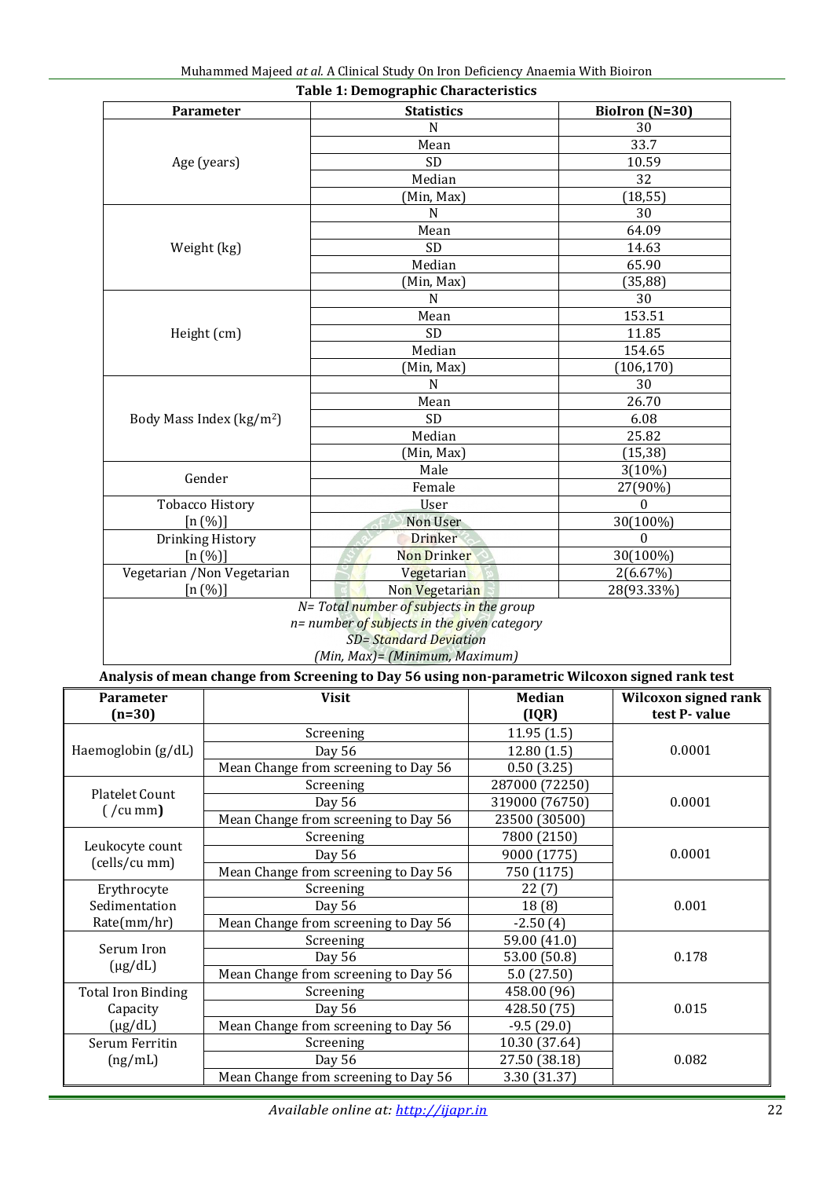| Muhammed Majeed at al. A Clinical Study On Iron Deficiency Anaemia With Bioiron |
|---------------------------------------------------------------------------------|
|---------------------------------------------------------------------------------|

|                  |                                      | <b>Table 1: Demographic Characteristics</b>                                                     |               |                      |  |  |  |
|------------------|--------------------------------------|-------------------------------------------------------------------------------------------------|---------------|----------------------|--|--|--|
| <b>Parameter</b> |                                      | <b>Statistics</b>                                                                               |               | BioIron (N=30)       |  |  |  |
|                  |                                      | $\mathbf N$                                                                                     |               | 30                   |  |  |  |
|                  |                                      | Mean                                                                                            |               | 33.7                 |  |  |  |
|                  | Age (years)                          | <b>SD</b>                                                                                       |               | 10.59                |  |  |  |
|                  |                                      | Median                                                                                          |               | 32                   |  |  |  |
|                  |                                      | (Min, Max)                                                                                      |               | (18, 55)             |  |  |  |
|                  |                                      | N                                                                                               |               | 30                   |  |  |  |
|                  |                                      | Mean                                                                                            |               | 64.09                |  |  |  |
|                  | Weight (kg)                          | <b>SD</b>                                                                                       |               | 14.63                |  |  |  |
|                  |                                      | Median                                                                                          |               | 65.90                |  |  |  |
|                  |                                      | (Min, Max)                                                                                      |               | (35, 88)             |  |  |  |
|                  |                                      | N                                                                                               |               | 30                   |  |  |  |
|                  |                                      | Mean                                                                                            |               | 153.51               |  |  |  |
|                  | Height (cm)                          | <b>SD</b>                                                                                       |               | 11.85                |  |  |  |
|                  |                                      | Median                                                                                          |               | 154.65               |  |  |  |
|                  |                                      | (Min, Max)                                                                                      |               | (106, 170)           |  |  |  |
|                  |                                      | N                                                                                               |               | 30                   |  |  |  |
|                  |                                      | Mean                                                                                            |               | 26.70                |  |  |  |
|                  | Body Mass Index (kg/m <sup>2</sup> ) | <b>SD</b>                                                                                       |               | 6.08                 |  |  |  |
|                  |                                      | Median                                                                                          |               | 25.82                |  |  |  |
|                  |                                      | (Min, Max)                                                                                      |               | (15, 38)             |  |  |  |
|                  |                                      | Male                                                                                            |               | $3(10\%)$            |  |  |  |
|                  | Gender                               | Female                                                                                          |               | 27(90%)              |  |  |  |
|                  | <b>Tobacco History</b>               | User                                                                                            |               | 0                    |  |  |  |
|                  | [n (%)]                              | <b>Non User</b>                                                                                 |               | 30(100%)             |  |  |  |
|                  | Drinking History                     | <b>Drinker</b>                                                                                  |               | $\theta$             |  |  |  |
|                  | [n (%)]                              | Non Drinker                                                                                     |               | 30(100%)             |  |  |  |
|                  | Vegetarian / Non Vegetarian          | Vegetarian                                                                                      |               | 2(6.67%)             |  |  |  |
|                  | [n (%)]                              | Non Vegetarian                                                                                  |               | 28(93.33%)           |  |  |  |
|                  |                                      | N= Total number of subjects in the group                                                        |               |                      |  |  |  |
|                  |                                      | n= number of subjects in the given category                                                     |               |                      |  |  |  |
|                  |                                      | <b>SD</b> = Standard Deviation                                                                  |               |                      |  |  |  |
|                  |                                      | (Min, Max)= (Minimum, Maximum)                                                                  |               |                      |  |  |  |
|                  |                                      | Analysis of mean change from Screening to Day 56 using non-parametric Wilcoxon signed rank test |               |                      |  |  |  |
| <b>Parameter</b> |                                      | <b>Visit</b>                                                                                    | <b>Median</b> | Wilcoxon signed rank |  |  |  |
| $(n=30)$         |                                      |                                                                                                 | (IQR)         | test P-value         |  |  |  |
|                  |                                      | Scrooning                                                                                       | 1195(15)      |                      |  |  |  |

| <b>Parameter</b>                  | <b>Visit</b>                         | <b>Median</b>  | Wilcoxon signed rank |  |  |
|-----------------------------------|--------------------------------------|----------------|----------------------|--|--|
| $(n=30)$                          |                                      | (IQR)          | test P-value         |  |  |
|                                   | Screening                            | 11.95(1.5)     |                      |  |  |
| Haemoglobin (g/dL)                | 12.80(1.5)<br>Day 56                 |                | 0.0001               |  |  |
|                                   | Mean Change from screening to Day 56 | 0.50(3.25)     |                      |  |  |
| <b>Platelet Count</b>             | Screening                            | 287000 (72250) | 0.0001               |  |  |
|                                   | Day 56                               | 319000 (76750) |                      |  |  |
| $\frac{1}{2}$ ( $\frac{1}{2}$ mm) | Mean Change from screening to Day 56 | 23500 (30500)  |                      |  |  |
|                                   | Screening                            | 7800 (2150)    |                      |  |  |
| Leukocyte count<br>(cells/cu mm)  | Day 56                               | 9000 (1775)    | 0.0001               |  |  |
|                                   | Mean Change from screening to Day 56 | 750 (1175)     |                      |  |  |
| Erythrocyte                       | Screening                            | 22(7)          |                      |  |  |
| Sedimentation                     | Day 56                               | 18(8)          | 0.001                |  |  |
| Rate(mm/hr)                       | Mean Change from screening to Day 56 | $-2.50(4)$     |                      |  |  |
| Serum Iron                        | Screening                            | 59.00 (41.0)   |                      |  |  |
| $(\mu g/dL)$                      | Day 56                               | 53.00 (50.8)   | 0.178                |  |  |
|                                   | Mean Change from screening to Day 56 | 5.0(27.50)     |                      |  |  |
| <b>Total Iron Binding</b>         | Screening                            | 458.00 (96)    |                      |  |  |
| Capacity                          | Day 56                               | 428.50 (75)    | 0.015                |  |  |
| $(\mu g/dL)$                      | Mean Change from screening to Day 56 | $-9.5(29.0)$   |                      |  |  |
| Serum Ferritin                    | Screening                            | 10.30 (37.64)  |                      |  |  |
| (ng/mL)                           | Day 56                               | 27.50 (38.18)  | 0.082                |  |  |
|                                   | Mean Change from screening to Day 56 | 3.30 (31.37)   |                      |  |  |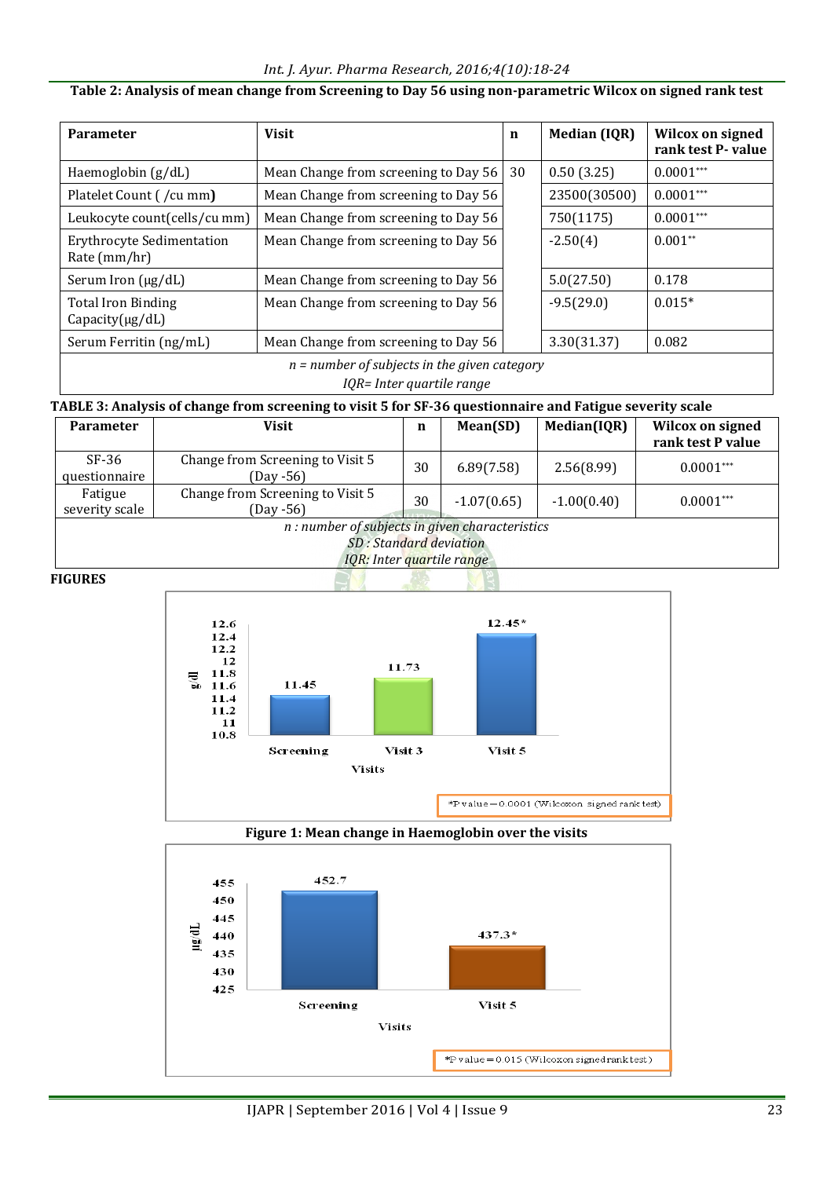### *Int. J. Ayur. Pharma Research, 2016;4(10):18-24*

**Table 2: Analysis of mean change from Screening to Day 56 using non-parametric Wilcox on signed rank test**

| <b>Parameter</b>                                  | <b>Visit</b>                                                                                                       | $\mathbf n$ | <b>Median (IQR)</b> | <b>Wilcox on signed</b><br>rank test P- value |
|---------------------------------------------------|--------------------------------------------------------------------------------------------------------------------|-------------|---------------------|-----------------------------------------------|
| Haemoglobin (g/dL)                                | 30<br>Mean Change from screening to Day 56                                                                         |             | 0.50(3.25)          | $0.0001***$                                   |
| Platelet Count (/cu mm)                           | Mean Change from screening to Day 56                                                                               |             | 23500(30500)        | $0.0001***$                                   |
| Leukocyte count(cells/cu mm)                      | Mean Change from screening to Day 56                                                                               |             | 750(1175)           | $0.0001***$                                   |
| <b>Erythrocyte Sedimentation</b><br>Rate (mm/hr)  | Mean Change from screening to Day 56                                                                               |             | $-2.50(4)$          | $0.001**$                                     |
| Serum Iron $(\mu g/dL)$                           | Mean Change from screening to Day 56                                                                               |             | 5.0(27.50)          | 0.178                                         |
| <b>Total Iron Binding</b><br>$Capacity(\mu g/dL)$ | Mean Change from screening to Day 56                                                                               |             | $-9.5(29.0)$        | $0.015*$                                      |
| Serum Ferritin (ng/mL)                            | Mean Change from screening to Day 56                                                                               |             | 3.30(31.37)         | 0.082                                         |
|                                                   | $n = number of subjects in the given category$<br>$I \cap D$ , $I_{n+1}$ and $I_{n+1}$ and $I_{n+1}$ and $I_{n+1}$ |             |                     |                                               |

*IQR= Inter quartile range*

# **TABLE 3: Analysis of change from screening to visit 5 for SF-36 questionnaire and Fatigue severity scale**

| <b>Parameter</b>                                                                                       | Visit                                            | n  | Mean(SD)      | Median(IQR)   | Wilcox on signed<br>rank test P value |
|--------------------------------------------------------------------------------------------------------|--------------------------------------------------|----|---------------|---------------|---------------------------------------|
| $SF-36$<br>questionnaire                                                                               | Change from Screening to Visit 5<br>(Day -56)    | 30 | 6.89(7.58)    | 2.56(8.99)    | $0.0001***$                           |
| Fatigue<br>severity scale                                                                              | Change from Screening to Visit 5<br>$(Day - 56)$ | 30 | $-1.07(0.65)$ | $-1.00(0.40)$ | $0.0001***$                           |
| n : number of subjects in given characteristics<br>SD: Standard deviation<br>IQR: Inter quartile range |                                                  |    |               |               |                                       |

#### **FIGURES**